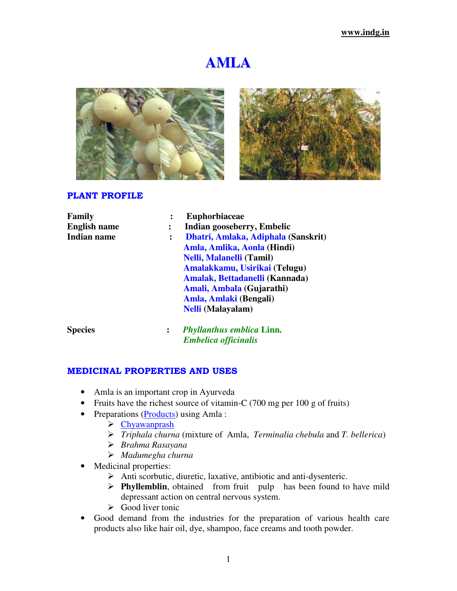# **AMLA**





#### PLANT PROFILE

| Family              |                | <b>Euphorbiaceae</b>                |
|---------------------|----------------|-------------------------------------|
| <b>English name</b> | :              | Indian gooseberry, Embelic          |
| <b>Indian name</b>  | $\ddot{\cdot}$ | Dhatri, Amlaka, Adiphala (Sanskrit) |
|                     |                | Amla, Amlika, Aonla (Hindi)         |
|                     |                | <b>Nelli, Malanelli (Tamil)</b>     |
|                     |                | Amalakkamu, Usirikai (Telugu)       |
|                     |                | Amalak, Bettadanelli (Kannada)      |
|                     |                | Amali, Ambala (Gujarathi)           |
|                     |                | Amla, Amlaki (Bengali)              |
|                     |                | <b>Nelli</b> (Malayalam)            |
| <b>Species</b>      | $\ddot{\cdot}$ | <b>Phyllanthus emblica Linn.</b>    |
|                     |                | <b>Embelica officinalis</b>         |

#### MEDICINAL PROPERTIES AND USES

- Amla is an important crop in Ayurveda
- Fruits have the richest source of vitamin-C (700 mg per 100 g of fruits)
- Preparations (Products) using Amla :
	- Chyawanprash
	- *Triphala churna* (mixture of Amla, *Terminalia chebula* and *T. bellerica*)
	- *Brahma Rasayana*
	- *Madumegha churna*
- Medicinal properties:
	- Anti scorbutic, diuretic, laxative, antibiotic and anti-dysenteric.
	- **Phyllemblin**, obtained from fruit pulp has been found to have mild depressant action on central nervous system.
	- $\triangleright$  Good liver tonic
- Good demand from the industries for the preparation of various health care products also like hair oil, dye, shampoo, face creams and tooth powder.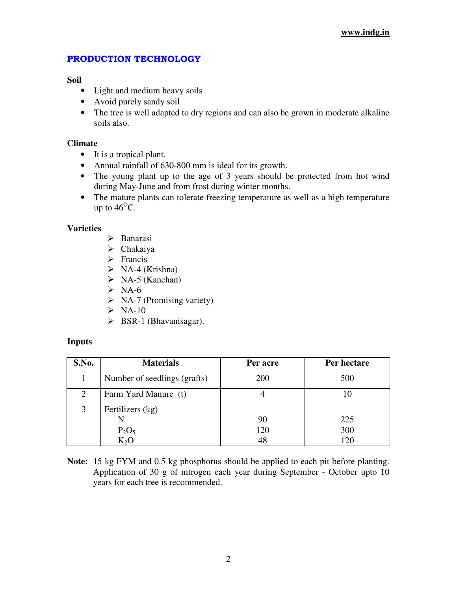# PRODUCTION TECHNOLOGY

## **Soil**

- Light and medium heavy soils
- Avoid purely sandy soil
- The tree is well adapted to dry regions and can also be grown in moderate alkaline soils also.

# **Climate**

- It is a tropical plant.
- Annual rainfall of 630-800 mm is ideal for its growth.
- The young plant up to the age of 3 years should be protected from hot wind during May-June and from frost during winter months.
- The mature plants can tolerate freezing temperature as well as a high temperature up to  $46^{\circ}$ C.

# **Varieties**

- > Banarasi
- $\triangleright$  Chakaiya
- $\triangleright$  Francis
- $\triangleright$  NA-4 (Krishna)
- $\triangleright$  NA-5 (Kanchan)
- $\triangleright$  NA-6
- $\triangleright$  NA-7 (Promising variety)
- $\triangleright$  NA-10
- $\triangleright$  BSR-1 (Bhavanisagar).

# **Inputs**

| S.No. | <b>Materials</b>             | Per acre | Per hectare |
|-------|------------------------------|----------|-------------|
|       | Number of seedlings (grafts) | 200      | 500         |
| 2     | Farm Yard Manure (t)         |          |             |
|       | Fertilizers (kg)             |          |             |
|       | N                            | 90       | 225         |
|       | $P_2O_5$                     | 120      | 300         |
|       | $K_2O$                       | 48       | 120         |

**Note:** 15 kg FYM and 0.5 kg phosphorus should be applied to each pit before planting. Application of 30 g of nitrogen each year during September - October upto 10 years for each tree is recommended.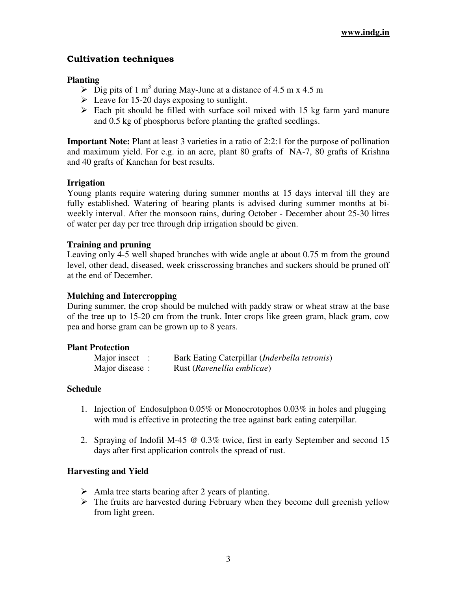# Cultivation techniques

# **Planting**

- $\triangleright$  Dig pits of 1 m<sup>3</sup> during May-June at a distance of 4.5 m x 4.5 m
- E Leave for 15-20 days exposing to sunlight.
- $\triangleright$  Each pit should be filled with surface soil mixed with 15 kg farm yard manure and 0.5 kg of phosphorus before planting the grafted seedlings.

**Important Note:** Plant at least 3 varieties in a ratio of 2:2:1 for the purpose of pollination and maximum yield. For e.g. in an acre, plant 80 grafts of NA-7, 80 grafts of Krishna and 40 grafts of Kanchan for best results.

# **Irrigation**

Young plants require watering during summer months at 15 days interval till they are fully established. Watering of bearing plants is advised during summer months at biweekly interval. After the monsoon rains, during October - December about 25-30 litres of water per day per tree through drip irrigation should be given.

## **Training and pruning**

Leaving only 4-5 well shaped branches with wide angle at about 0.75 m from the ground level, other dead, diseased, week crisscrossing branches and suckers should be pruned off at the end of December.

#### **Mulching and Intercropping**

During summer, the crop should be mulched with paddy straw or wheat straw at the base of the tree up to 15-20 cm from the trunk. Inter crops like green gram, black gram, cow pea and horse gram can be grown up to 8 years.

#### **Plant Protection**

| Major insect $\therefore$ | Bark Eating Caterpillar ( <i>Inderbella tetronis</i> ) |
|---------------------------|--------------------------------------------------------|
| Major disease:            | Rust (Ravenellia emblicae)                             |

## **Schedule**

- 1. Injection of Endosulphon 0.05% or Monocrotophos 0.03% in holes and plugging with mud is effective in protecting the tree against bark eating caterpillar.
- 2. Spraying of Indofil M-45 @ 0.3% twice, first in early September and second 15 days after first application controls the spread of rust.

## **Harvesting and Yield**

- $\triangleright$  Amla tree starts bearing after 2 years of planting.
- $\triangleright$  The fruits are harvested during February when they become dull greenish yellow from light green.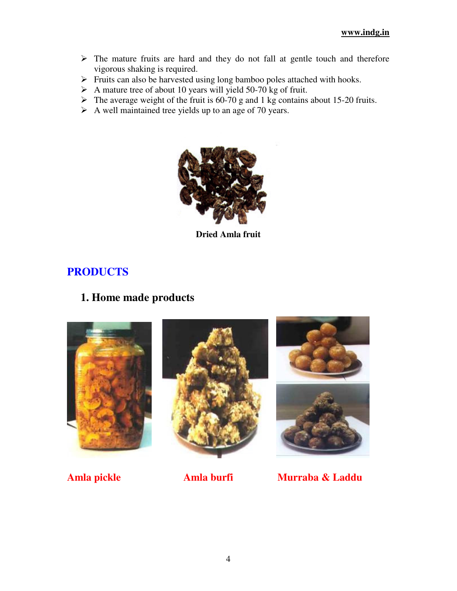- $\triangleright$  The mature fruits are hard and they do not fall at gentle touch and therefore vigorous shaking is required.
- $\triangleright$  Fruits can also be harvested using long bamboo poles attached with hooks.
- $\triangleright$  A mature tree of about 10 years will yield 50-70 kg of fruit.
- $\triangleright$  The average weight of the fruit is 60-70 g and 1 kg contains about 15-20 fruits.
- $\triangleright$  A well maintained tree yields up to an age of 70 years.



**Dried Amla fruit**

# **PRODUCTS**

# **1. Home made products**



**Amla pickle Amla burfi Murraba & Laddu**